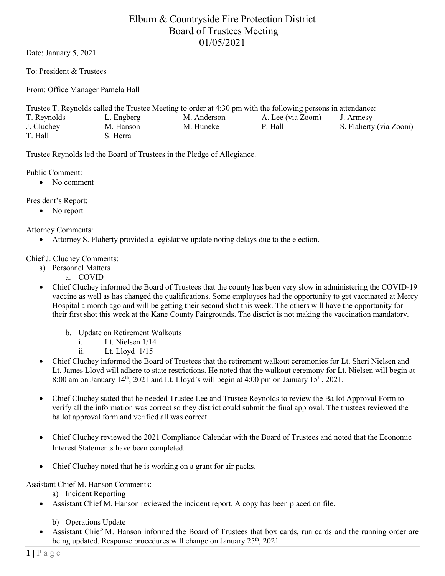# Elburn & Countryside Fire Protection District Board of Trustees Meeting 01/05/2021

Date: January 5, 2021

To: President & Trustees

From: Office Manager Pamela Hall

| Trustee T. Reynolds called the Trustee Meeting to order at 4:30 pm with the following persons in attendance: |            |             |                   |                        |
|--------------------------------------------------------------------------------------------------------------|------------|-------------|-------------------|------------------------|
| T. Reynolds                                                                                                  | L. Engberg | M. Anderson | A. Lee (via Zoom) | J. Armesy              |
| J. Cluchey                                                                                                   | M. Hanson  | M. Huneke   | P. Hall           | S. Flaherty (via Zoom) |
| T. Hall                                                                                                      | S. Herra   |             |                   |                        |

Trustee Reynolds led the Board of Trustees in the Pledge of Allegiance.

Public Comment:

• No comment

President's Report:

• No report

Attorney Comments:

• Attorney S. Flaherty provided a legislative update noting delays due to the election.

Chief J. Cluchey Comments:

- a) Personnel Matters
	- a. COVID
- Chief Cluchey informed the Board of Trustees that the county has been very slow in administering the COVID-19 vaccine as well as has changed the qualifications. Some employees had the opportunity to get vaccinated at Mercy Hospital a month ago and will be getting their second shot this week. The others will have the opportunity for their first shot this week at the Kane County Fairgrounds. The district is not making the vaccination mandatory.
	- b. Update on Retirement Walkouts
		- i. Lt. Nielsen 1/14
		- ii. Lt. Lloyd 1/15
- Chief Cluchey informed the Board of Trustees that the retirement walkout ceremonies for Lt. Sheri Nielsen and Lt. James Lloyd will adhere to state restrictions. He noted that the walkout ceremony for Lt. Nielsen will begin at 8:00 am on January  $14<sup>th</sup>$ , 2021 and Lt. Lloyd's will begin at 4:00 pm on January  $15<sup>th</sup>$ , 2021.
- Chief Cluchey stated that he needed Trustee Lee and Trustee Reynolds to review the Ballot Approval Form to verify all the information was correct so they district could submit the final approval. The trustees reviewed the ballot approval form and verified all was correct.
- Chief Cluchey reviewed the 2021 Compliance Calendar with the Board of Trustees and noted that the Economic Interest Statements have been completed.
- Chief Cluchey noted that he is working on a grant for air packs.

Assistant Chief M. Hanson Comments:

a) Incident Reporting

- Assistant Chief M. Hanson reviewed the incident report. A copy has been placed on file.
	- b) Operations Update
- Assistant Chief M. Hanson informed the Board of Trustees that box cards, run cards and the running order are being updated. Response procedures will change on January  $25<sup>th</sup>$ ,  $2021$ .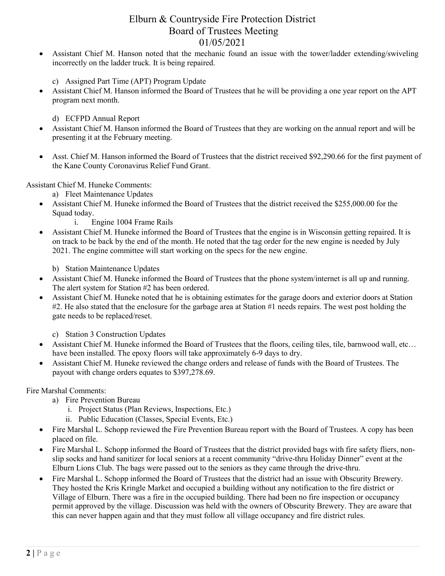## Elburn & Countryside Fire Protection District Board of Trustees Meeting 01/05/2021

- Assistant Chief M. Hanson noted that the mechanic found an issue with the tower/ladder extending/swiveling incorrectly on the ladder truck. It is being repaired.
	- c) Assigned Part Time (APT) Program Update
- Assistant Chief M. Hanson informed the Board of Trustees that he will be providing a one year report on the APT program next month.
	- d) ECFPD Annual Report
- Assistant Chief M. Hanson informed the Board of Trustees that they are working on the annual report and will be presenting it at the February meeting.
- Asst. Chief M. Hanson informed the Board of Trustees that the district received \$92,290.66 for the first payment of the Kane County Coronavirus Relief Fund Grant.

Assistant Chief M. Huneke Comments:

- a) Fleet Maintenance Updates
- Assistant Chief M. Huneke informed the Board of Trustees that the district received the \$255,000.00 for the Squad today.
	- i. Engine 1004 Frame Rails
- Assistant Chief M. Huneke informed the Board of Trustees that the engine is in Wisconsin getting repaired. It is on track to be back by the end of the month. He noted that the tag order for the new engine is needed by July 2021. The engine committee will start working on the specs for the new engine.

b) Station Maintenance Updates

- Assistant Chief M. Huneke informed the Board of Trustees that the phone system/internet is all up and running. The alert system for Station #2 has been ordered.
- Assistant Chief M. Huneke noted that he is obtaining estimates for the garage doors and exterior doors at Station #2. He also stated that the enclosure for the garbage area at Station #1 needs repairs. The west post holding the gate needs to be replaced/reset.
	- c) Station 3 Construction Updates
- Assistant Chief M. Huneke informed the Board of Trustees that the floors, ceiling tiles, tile, barnwood wall, etc… have been installed. The epoxy floors will take approximately 6-9 days to dry.
- Assistant Chief M. Huneke reviewed the change orders and release of funds with the Board of Trustees. The payout with change orders equates to \$397,278.69.

Fire Marshal Comments:

- a) Fire Prevention Bureau
	- i. Project Status (Plan Reviews, Inspections, Etc.)
	- ii. Public Education (Classes, Special Events, Etc.)
- Fire Marshal L. Schopp reviewed the Fire Prevention Bureau report with the Board of Trustees. A copy has been placed on file.
- Fire Marshal L. Schopp informed the Board of Trustees that the district provided bags with fire safety fliers, nonslip socks and hand sanitizer for local seniors at a recent community "drive-thru Holiday Dinner" event at the Elburn Lions Club. The bags were passed out to the seniors as they came through the drive-thru.
- Fire Marshal L. Schopp informed the Board of Trustees that the district had an issue with Obscurity Brewery. They hosted the Kris Kringle Market and occupied a building without any notification to the fire district or Village of Elburn. There was a fire in the occupied building. There had been no fire inspection or occupancy permit approved by the village. Discussion was held with the owners of Obscurity Brewery. They are aware that this can never happen again and that they must follow all village occupancy and fire district rules.